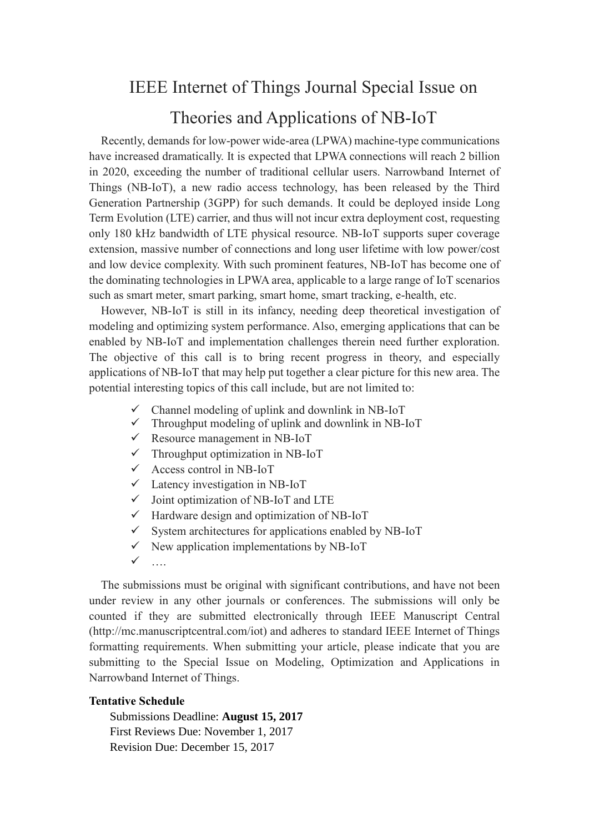## IEEE Internet of Things Journal Special Issue on

## Theories and Applications of NB-IoT

Recently, demands for low-power wide-area (LPWA) machine-type communications have increased dramatically. It is expected that LPWA connections will reach 2 billion in 2020, exceeding the number of traditional cellular users. Narrowband Internet of Things (NB-IoT), a new radio access technology, has been released by the Third Generation Partnership (3GPP) for such demands. It could be deployed inside Long Term Evolution (LTE) carrier, and thus will not incur extra deployment cost, requesting only 180 kHz bandwidth of LTE physical resource. NB-IoT supports super coverage extension, massive number of connections and long user lifetime with low power/cost and low device complexity. With such prominent features, NB-IoT has become one of the dominating technologies in LPWA area, applicable to a large range of IoT scenarios such as smart meter, smart parking, smart home, smart tracking, e-health, etc.

However, NB-IoT is still in its infancy, needing deep theoretical investigation of modeling and optimizing system performance. Also, emerging applications that can be enabled by NB-IoT and implementation challenges therein need further exploration. The objective of this call is to bring recent progress in theory, and especially applications of NB-IoT that may help put together a clear picture for this new area. The potential interesting topics of this call include, but are not limited to:

- $\checkmark$  Channel modeling of uplink and downlink in NB-IoT
- $\checkmark$  Throughput modeling of uplink and downlink in NB-IoT
- $\checkmark$  Resource management in NB-IoT
- $\checkmark$  Throughput optimization in NB-IoT
- $\checkmark$  Access control in NB-IoT
- $\checkmark$  Latency investigation in NB-IoT
- $\checkmark$  Joint optimization of NB-IoT and LTE
- $\checkmark$  Hardware design and optimization of NB-IoT
- $\checkmark$  System architectures for applications enabled by NB-IoT
- $\checkmark$  New application implementations by NB-IoT
- ….

The submissions must be original with significant contributions, and have not been under review in any other journals or conferences. The submissions will only be counted if they are submitted electronically through IEEE Manuscript Central (http://mc.manuscriptcentral.com/iot) and adheres to standard IEEE Internet of Things formatting requirements. When submitting your article, please indicate that you are submitting to the Special Issue on Modeling, Optimization and Applications in Narrowband Internet of Things.

## **Tentative Schedule**

Submissions Deadline: **August 15, 2017**  First Reviews Due: November 1, 2017 Revision Due: December 15, 2017